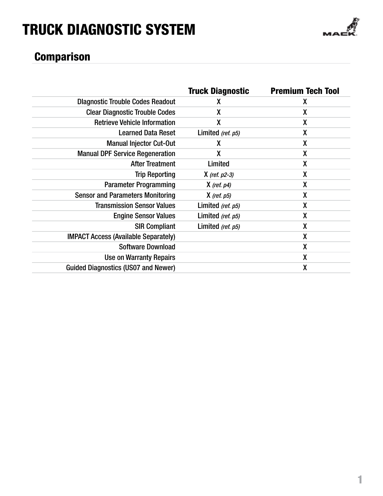

### **Comparison**

|                                             | <b>Truck Diagnostic</b> | <b>Premium Tech Tool</b> |
|---------------------------------------------|-------------------------|--------------------------|
| <b>Diagnostic Trouble Codes Readout</b>     | χ                       | χ                        |
| <b>Clear Diagnostic Trouble Codes</b>       | χ                       | X                        |
| <b>Retrieve Vehicle Information</b>         | X                       | X                        |
| <b>Learned Data Reset</b>                   | Limited (ref. p5)       | χ                        |
| <b>Manual Injector Cut-Out</b>              | X                       | χ                        |
| <b>Manual DPF Service Regeneration</b>      | χ                       | χ                        |
| <b>After Treatment</b>                      | Limited                 | X                        |
| <b>Trip Reporting</b>                       | $X$ (ref. $p2-3$ )      | χ                        |
| <b>Parameter Programming</b>                | $X$ (ref. $p4$ )        | χ                        |
| <b>Sensor and Parameters Monitoring</b>     | $X$ (ref. $p5$ )        | χ                        |
| <b>Transmission Sensor Values</b>           | Limited (ref. p5)       | χ                        |
| <b>Engine Sensor Values</b>                 | Limited (ref. p5)       | X                        |
| <b>SIR Compliant</b>                        | Limited (ref. p5)       | X                        |
| <b>IMPACT Access (Available Separately)</b> |                         | X                        |
| <b>Software Download</b>                    |                         | X                        |
| Use on Warranty Repairs                     |                         | X                        |
| <b>Guided Diagnostics (US07 and Newer)</b>  |                         | χ                        |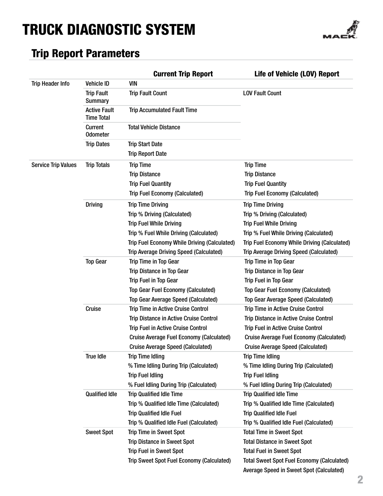

### Trip Report Parameters

|                            |                                          | <b>Current Trip Report</b>                      | Life of Vehicle (LOV) Report                      |
|----------------------------|------------------------------------------|-------------------------------------------------|---------------------------------------------------|
| <b>Trip Header Info</b>    | <b>Vehicle ID</b>                        | <b>VIN</b>                                      |                                                   |
|                            | <b>Trip Fault</b><br><b>Summary</b>      | <b>Trip Fault Count</b>                         | <b>LOV Fault Count</b>                            |
|                            | <b>Active Fault</b><br><b>Time Total</b> | <b>Trip Accumulated Fault Time</b>              |                                                   |
|                            | <b>Current</b><br><b>Odometer</b>        | <b>Total Vehicle Distance</b>                   |                                                   |
|                            | <b>Trip Dates</b>                        | <b>Trip Start Date</b>                          |                                                   |
|                            |                                          | <b>Trip Report Date</b>                         |                                                   |
| <b>Service Trip Values</b> | <b>Trip Totals</b>                       | <b>Trip Time</b>                                | <b>Trip Time</b>                                  |
|                            |                                          | <b>Trip Distance</b>                            | <b>Trip Distance</b>                              |
|                            |                                          | <b>Trip Fuel Quantity</b>                       | <b>Trip Fuel Quantity</b>                         |
|                            |                                          | <b>Trip Fuel Economy (Calculated)</b>           | <b>Trip Fuel Economy (Calculated)</b>             |
|                            | <b>Driving</b>                           | <b>Trip Time Driving</b>                        | <b>Trip Time Driving</b>                          |
|                            |                                          | Trip % Driving (Calculated)                     | Trip % Driving (Calculated)                       |
|                            |                                          | <b>Trip Fuel While Driving</b>                  | <b>Trip Fuel While Driving</b>                    |
|                            |                                          | Trip % Fuel While Driving (Calculated)          | Trip % Fuel While Driving (Calculated)            |
|                            |                                          | Trip Fuel Economy While Driving (Calculated)    | Trip Fuel Economy While Driving (Calculated)      |
|                            |                                          | <b>Trip Average Driving Speed (Calculated)</b>  | <b>Trip Average Driving Speed (Calculated)</b>    |
|                            | <b>Top Gear</b>                          | <b>Trip Time in Top Gear</b>                    | <b>Trip Time in Top Gear</b>                      |
|                            |                                          | <b>Trip Distance in Top Gear</b>                | <b>Trip Distance in Top Gear</b>                  |
|                            |                                          | <b>Trip Fuel in Top Gear</b>                    | Trip Fuel in Top Gear                             |
|                            |                                          | <b>Top Gear Fuel Economy (Calculated)</b>       | Top Gear Fuel Economy (Calculated)                |
|                            |                                          | <b>Top Gear Average Speed (Calculated)</b>      | <b>Top Gear Average Speed (Calculated)</b>        |
|                            | Cruise                                   | <b>Trip Time in Active Cruise Control</b>       | <b>Trip Time in Active Cruise Control</b>         |
|                            |                                          | <b>Trip Distance in Active Cruise Control</b>   | Trip Distance in Active Cruise Control            |
|                            |                                          | <b>Trip Fuel in Active Cruise Control</b>       | <b>Trip Fuel in Active Cruise Control</b>         |
|                            |                                          | <b>Cruise Average Fuel Economy (Calculated)</b> | <b>Cruise Average Fuel Economy (Calculated)</b>   |
|                            |                                          | <b>Cruise Average Speed (Calculated)</b>        | <b>Cruise Average Speed (Calculated)</b>          |
|                            | <b>True Idle</b>                         | <b>Trip Time Idling</b>                         | <b>Trip Time Idling</b>                           |
|                            |                                          | % Time Idling During Trip (Calculated)          | % Time Idling During Trip (Calculated)            |
|                            |                                          | <b>Trip Fuel Idling</b>                         | <b>Trip Fuel Idling</b>                           |
|                            |                                          | % Fuel Idling During Trip (Calculated)          | % Fuel Idling During Trip (Calculated)            |
|                            | <b>Qualified Idle</b>                    | <b>Trip Qualified Idle Time</b>                 | <b>Trip Qualified Idle Time</b>                   |
|                            |                                          | Trip % Qualified Idle Time (Calculated)         | Trip % Qualified Idle Time (Calculated)           |
|                            | <b>Trip Qualified Idle Fuel</b>          | <b>Trip Qualified Idle Fuel</b>                 |                                                   |
|                            |                                          | Trip % Qualified Idle Fuel (Calculated)         | Trip % Qualified Idle Fuel (Calculated)           |
|                            | <b>Sweet Spot</b>                        | <b>Trip Time in Sweet Spot</b>                  | <b>Total Time in Sweet Spot</b>                   |
|                            |                                          | <b>Trip Distance in Sweet Spot</b>              | <b>Total Distance in Sweet Spot</b>               |
|                            |                                          | <b>Trip Fuel in Sweet Spot</b>                  | <b>Total Fuel in Sweet Spot</b>                   |
|                            |                                          | Trip Sweet Spot Fuel Economy (Calculated)       | <b>Total Sweet Spot Fuel Economy (Calculated)</b> |
|                            |                                          |                                                 | <b>Average Speed in Sweet Spot (Calculated)</b>   |
|                            |                                          |                                                 |                                                   |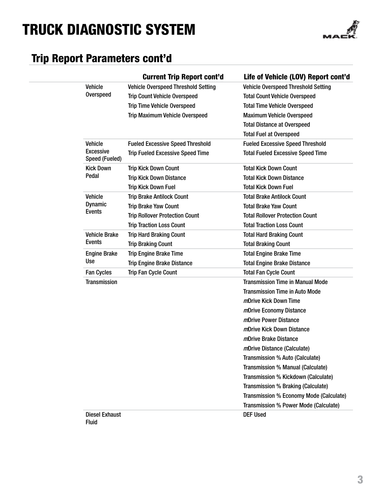

### Trip Report Parameters cont'd

|                                       | <b>Current Trip Report cont'd</b>          | Life of Vehicle (LOV) Report cont'd        |
|---------------------------------------|--------------------------------------------|--------------------------------------------|
| <b>Vehicle</b>                        | <b>Vehicle Overspeed Threshold Setting</b> | <b>Vehicle Overspeed Threshold Setting</b> |
| <b>Overspeed</b>                      | <b>Trip Count Vehicle Overspeed</b>        | <b>Total Count Vehicle Overspeed</b>       |
|                                       | <b>Trip Time Vehicle Overspeed</b>         | <b>Total Time Vehicle Overspeed</b>        |
|                                       | <b>Trip Maximum Vehicle Overspeed</b>      | <b>Maximum Vehicle Overspeed</b>           |
|                                       |                                            | <b>Total Distance at Overspeed</b>         |
|                                       |                                            | <b>Total Fuel at Overspeed</b>             |
| <b>Vehicle</b>                        | <b>Fueled Excessive Speed Threshold</b>    | <b>Fueled Excessive Speed Threshold</b>    |
| Excessive<br>Speed (Fueled)           | <b>Trip Fueled Excessive Speed Time</b>    | <b>Total Fueled Excessive Speed Time</b>   |
| <b>Kick Down</b>                      | <b>Trip Kick Down Count</b>                | <b>Total Kick Down Count</b>               |
| Pedal                                 | <b>Trip Kick Down Distance</b>             | <b>Total Kick Down Distance</b>            |
|                                       | <b>Trip Kick Down Fuel</b>                 | <b>Total Kick Down Fuel</b>                |
| <b>Vehicle</b>                        | <b>Trip Brake Antilock Count</b>           | <b>Total Brake Antilock Count</b>          |
| <b>Dynamic</b><br><b>Events</b>       | <b>Trip Brake Yaw Count</b>                | <b>Total Brake Yaw Count</b>               |
|                                       | <b>Trip Rollover Protection Count</b>      | <b>Total Rollover Protection Count</b>     |
|                                       | <b>Trip Traction Loss Count</b>            | <b>Total Traction Loss Count</b>           |
| <b>Vehicle Brake</b>                  | <b>Trip Hard Braking Count</b>             | <b>Total Hard Braking Count</b>            |
| Events                                | <b>Trip Braking Count</b>                  | <b>Total Braking Count</b>                 |
| <b>Engine Brake</b>                   | <b>Trip Engine Brake Time</b>              | <b>Total Engine Brake Time</b>             |
| <b>Use</b>                            | <b>Trip Engine Brake Distance</b>          | <b>Total Engine Brake Distance</b>         |
| <b>Fan Cycles</b>                     | <b>Trip Fan Cycle Count</b>                | <b>Total Fan Cycle Count</b>               |
| <b>Transmission</b>                   |                                            | <b>Transmission Time in Manual Mode</b>    |
|                                       |                                            | <b>Transmission Time in Auto Mode</b>      |
|                                       |                                            | <i>m</i> Drive Kick Down Time              |
|                                       |                                            | mDrive Economy Distance                    |
|                                       |                                            | mDrive Power Distance                      |
|                                       |                                            | <i>m</i> Drive Kick Down Distance          |
|                                       |                                            | <i>m</i> Drive Brake Distance              |
|                                       |                                            | <i>m</i> Drive Distance (Calculate)        |
|                                       |                                            | Transmission % Auto (Calculate)            |
|                                       |                                            | Transmission % Manual (Calculate)          |
|                                       |                                            | Transmission % Kickdown (Calculate)        |
|                                       |                                            | Transmission % Braking (Calculate)         |
|                                       |                                            | Transmission % Economy Mode (Calculate)    |
|                                       |                                            | Transmission % Power Mode (Calculate)      |
| <b>Diesel Exhaust</b><br><b>Fluid</b> |                                            | <b>DEF Used</b>                            |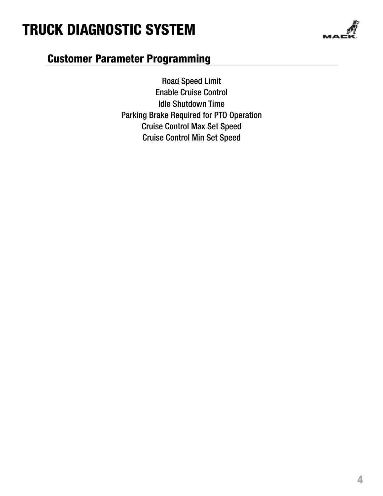

### Customer Parameter Programming

Road Speed Limit Enable Cruise Control Idle Shutdown Time Parking Brake Required for PTO Operation Cruise Control Max Set Speed Cruise Control Min Set Speed